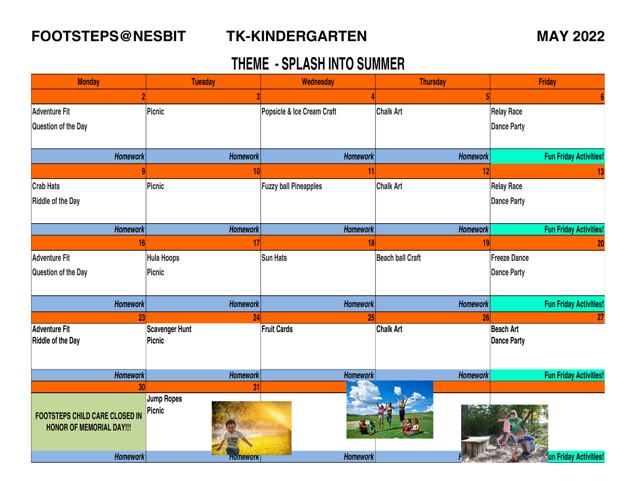### **FOOTSTEPS@NESBIT TK-KINDERGARTEN MAY 2022**

### **TK-KINDERGARTEN**

| <b>Monday</b>                         | <b>Tuesday</b>    | Wednesday                    | <b>Thursday</b>         | Friday                        |
|---------------------------------------|-------------------|------------------------------|-------------------------|-------------------------------|
|                                       |                   |                              |                         |                               |
| <b>Adventure Fit</b>                  | Picnic            | Popsicle & Ice Cream Craft   | <b>Chalk Art</b>        | <b>Relay Race</b>             |
| Question of the Day                   |                   |                              |                         | <b>Dance Party</b>            |
|                                       |                   |                              |                         |                               |
| <b>Homework</b>                       | <b>Homework</b>   | <b>Homework</b>              | Homework                | <b>Fun Friday Activities!</b> |
|                                       | 10 <sub>l</sub>   | 11                           | 12                      |                               |
| <b>Crab Hats</b>                      | Picnic            | <b>Fuzzy ball Pineapples</b> | <b>Chalk Art</b>        | <b>Relay Race</b>             |
| <b>Riddle of the Day</b>              |                   |                              |                         | <b>Dance Party</b>            |
|                                       |                   |                              |                         |                               |
| Homework                              | <b>Homework</b>   | <b>Homework</b>              | Homework                | <b>Fun Friday Activities!</b> |
| 16                                    | 17                | 18                           | 19                      | 20                            |
| <b>Adventure Fit</b>                  | <b>Hula Hoops</b> | <b>Sun Hats</b>              | <b>Beach ball Craft</b> | <b>Freeze Dance</b>           |
| Question of the Day                   | <b>Picnic</b>     |                              |                         | <b>Dance Party</b>            |
|                                       |                   |                              |                         |                               |
| <b>Homework</b>                       | <b>Homework</b>   | Homework                     | <b>Homework</b>         | <b>Fun Friday Activities!</b> |
| 23                                    | 24                | 25                           | 26                      |                               |
| <b>Adventure Fit</b>                  | Scavenger Hunt    | Fruit Cards                  | <b>Chalk Art</b>        | Beach Art                     |
| Riddle of the Day                     | Picnic            |                              |                         | <b>Dance Party</b>            |
|                                       |                   |                              |                         |                               |
| Homework                              | <b>Homework</b>   | <b>Homework</b>              | Homework                | <b>Fun Friday Activities!</b> |
| 30                                    | 31                |                              |                         |                               |
|                                       | Jump Ropes        |                              |                         |                               |
| <b>FOOTSTEPS CHILD CARE CLOSED IN</b> | Picnic            |                              |                         |                               |
| <b>HONOR OF MEMORIAL DAY!!!</b>       |                   |                              |                         |                               |
|                                       |                   |                              |                         |                               |
| Homework                              | <b>Homework</b>   | <b>Homework</b>              |                         | un Friday Activities!         |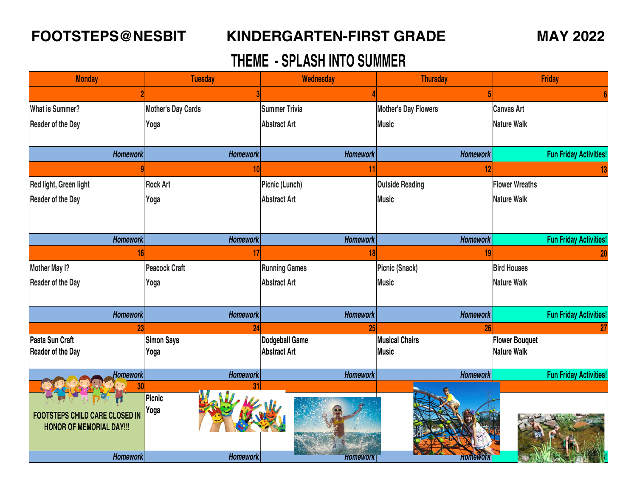### **FOOTSTEPS@NESBIT KINDERGARTEN-FIRST GRADE MAY 2022**

| <b>Monday</b>                         | <b>Tuesday</b>            | Wednesday            | <b>Thursday</b>             | <b>Friday</b>                 |  |
|---------------------------------------|---------------------------|----------------------|-----------------------------|-------------------------------|--|
|                                       |                           |                      |                             |                               |  |
| <b>What is Summer?</b>                | <b>Mother's Day Cards</b> | <b>Summer Trivia</b> | <b>Mother's Day Flowers</b> | <b>Canvas Art</b>             |  |
| <b>Reader of the Day</b>              | Yoga                      | <b>Abstract Art</b>  | <b>Music</b>                | <b>Nature Walk</b>            |  |
|                                       |                           |                      |                             |                               |  |
| <b>Homework</b>                       | <b>Homework</b>           | Homework             | <b>Homework</b>             | <b>Fun Friday Activities!</b> |  |
|                                       | 10                        | 11                   | 12                          |                               |  |
| Red light, Green light                | <b>Rock Art</b>           | Picnic (Lunch)       | <b>Outside Reading</b>      | <b>Flower Wreaths</b>         |  |
| <b>Reader of the Day</b>              | Yoga                      | <b>Abstract Art</b>  | <b>Music</b>                | <b>Nature Walk</b>            |  |
|                                       |                           |                      |                             |                               |  |
|                                       |                           |                      |                             |                               |  |
| <b>Homework</b>                       | <b>Homework</b>           | Homework             | <b>Homework</b>             | <b>Fun Friday Activities!</b> |  |
| 16                                    | 17                        | 18                   | 19                          | 20                            |  |
| <b>Mother May I?</b>                  | <b>Peacock Craft</b>      | <b>Running Games</b> | Picnic (Snack)              | <b>Bird Houses</b>            |  |
| <b>Reader of the Day</b>              | Yoga                      | <b>Abstract Art</b>  | <b>Music</b>                | <b>Nature Walk</b>            |  |
|                                       |                           |                      |                             |                               |  |
| Homework                              | <b>Homework</b>           | <b>Homework</b>      | Homework                    | <b>Fun Friday Activities!</b> |  |
| 23                                    |                           | 25                   | 26                          |                               |  |
| Pasta Sun Craft                       | <b>Simon Says</b>         | Dodgeball Game       | <b>Musical Chairs</b>       | <b>Flower Bouquet</b>         |  |
| <b>Reader of the Day</b>              | Yoga                      | <b>Abstract Art</b>  | <b>Music</b>                | <b>Nature Walk</b>            |  |
| <b>Homework</b>                       | <b>Homework</b>           | <b>Homework</b>      | <b>Homework</b>             | <b>Fun Friday Activities!</b> |  |
| 30 <sub>l</sub>                       | 31                        |                      |                             |                               |  |
|                                       | Picnic<br>Yoga            |                      |                             |                               |  |
| <b>FOOTSTEPS CHILD CARE CLOSED IN</b> |                           |                      |                             |                               |  |
| <b>HONOR OF MEMORIAL DAY!!!</b>       |                           |                      |                             |                               |  |
|                                       |                           |                      |                             |                               |  |
| Homework                              | <b>Homework</b>           | <b>HOMEWOrk</b>      | <b>Homework</b>             |                               |  |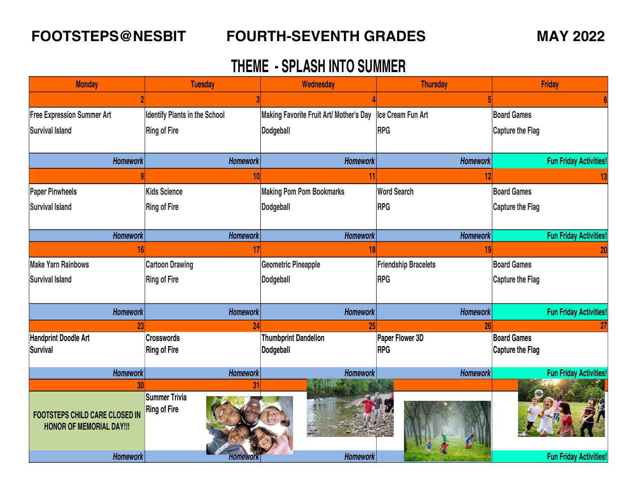| <b>Monday</b>                                                            | <b>Tuesday</b>                       | Wednesday                               | <b>Thursday</b>             | Friday                        |
|--------------------------------------------------------------------------|--------------------------------------|-----------------------------------------|-----------------------------|-------------------------------|
|                                                                          |                                      |                                         |                             |                               |
| <b>Free Expression Summer Art</b>                                        | <b>Identify Plants in the School</b> | Making Favorite Fruit Art/ Mother's Day | Ice Cream Fun Art           | <b>Board Games</b>            |
| <b>Survival Island</b>                                                   | <b>Ring of Fire</b>                  | <b>Dodgeball</b>                        | <b>RPG</b>                  | <b>Capture the Flag</b>       |
|                                                                          |                                      |                                         |                             |                               |
| Homework                                                                 | <b>Homework</b>                      | <b>Homework</b>                         | Homework                    | <b>Fun Friday Activities!</b> |
|                                                                          | 10                                   |                                         | 12                          |                               |
| <b>Paper Pinwheels</b>                                                   | <b>Kids Science</b>                  | <b>Making Pom Pom Bookmarks</b>         | <b>Word Search</b>          | <b>Board Games</b>            |
| <b>Survival Island</b>                                                   | <b>Ring of Fire</b>                  | <b>Dodgeball</b>                        | <b>RPG</b>                  | <b>Capture the Flag</b>       |
|                                                                          |                                      |                                         |                             |                               |
| <b>Homework</b>                                                          | <b>Homework</b>                      | <b>Homework</b>                         | <b>Homework</b>             | <b>Fun Friday Activities!</b> |
| 16 <sup>1</sup>                                                          | 17                                   | 181                                     | 19                          | 20                            |
| <b>Make Yarn Rainbows</b>                                                | <b>Cartoon Drawing</b>               | <b>Geometric Pineapple</b>              | <b>Friendship Bracelets</b> | <b>Board Games</b>            |
| <b>Survival Island</b>                                                   | <b>Ring of Fire</b>                  | <b>Dodgeball</b>                        | <b>RPG</b>                  | <b>Capture the Flag</b>       |
|                                                                          |                                      |                                         |                             |                               |
| <b>Homework</b>                                                          | <b>Homework</b>                      | <b>Homework</b>                         | <b>Homework</b>             | <b>Fun Friday Activities!</b> |
| 23                                                                       | 24                                   | 25                                      | 26                          | 27                            |
| <b>Handprint Doodle Art</b>                                              | <b>Crosswords</b>                    | <b>Thumbprint Dandelion</b>             | Paper Flower 3D             | <b>Board Games</b>            |
| <b>Survival</b>                                                          | <b>Ring of Fire</b>                  | Dodgeball                               | <b>RPG</b>                  | Capture the Flag              |
| <b>Homework</b>                                                          | <b>Homework</b>                      | <b>Homework</b>                         | <b>Homework</b>             | <b>Fun Friday Activities!</b> |
| 30                                                                       | 31                                   |                                         |                             |                               |
| <b>FOOTSTEPS CHILD CARE CLOSED IN</b><br><b>HONOR OF MEMORIAL DAY!!!</b> | Summer Trivia<br><b>Ring of Fire</b> |                                         |                             |                               |
| <b>Homework</b>                                                          | <b>Homeworl</b>                      | Homework                                |                             | <b>Fun Friday Activities!</b> |